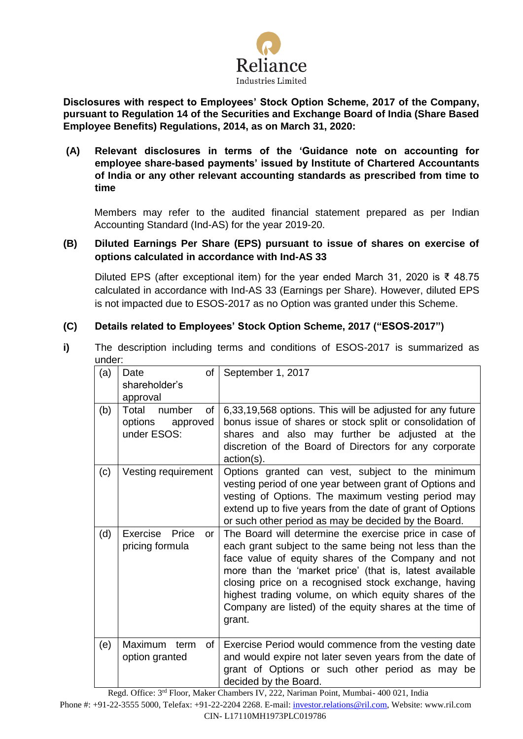

**Disclosures with respect to Employees' Stock Option Scheme, 2017 of the Company, pursuant to Regulation 14 of the Securities and Exchange Board of India (Share Based Employee Benefits) Regulations, 2014, as on March 31, 2020:**

**(A) Relevant disclosures in terms of the 'Guidance note on accounting for employee share-based payments' issued by Institute of Chartered Accountants of India or any other relevant accounting standards as prescribed from time to time**

Members may refer to the audited financial statement prepared as per Indian Accounting Standard (Ind-AS) for the year 2019-20.

# **(B) Diluted Earnings Per Share (EPS) pursuant to issue of shares on exercise of options calculated in accordance with Ind-AS 33**

Diluted EPS (after exceptional item) for the year ended March 31, 2020 is ₹ 48.75 calculated in accordance with Ind-AS 33 (Earnings per Share). However, diluted EPS is not impacted due to ESOS-2017 as no Option was granted under this Scheme.

# **(C) Details related to Employees' Stock Option Scheme, 2017 ("ESOS-2017")**

**i)** The description including terms and conditions of ESOS-2017 is summarized as under:

| (a) | of<br>Date<br>shareholder's<br>approval                     | September 1, 2017                                                                                                                                                                                                                                                                                                                                                                                                       |  |
|-----|-------------------------------------------------------------|-------------------------------------------------------------------------------------------------------------------------------------------------------------------------------------------------------------------------------------------------------------------------------------------------------------------------------------------------------------------------------------------------------------------------|--|
| (b) | Total<br>number<br>οf<br>options<br>approved<br>under ESOS: | 6,33,19,568 options. This will be adjusted for any future<br>bonus issue of shares or stock split or consolidation of<br>shares and also may further be adjusted at the<br>discretion of the Board of Directors for any corporate<br>action(s).                                                                                                                                                                         |  |
| (c) | Vesting requirement                                         | Options granted can vest, subject to the minimum<br>vesting period of one year between grant of Options and<br>vesting of Options. The maximum vesting period may<br>extend up to five years from the date of grant of Options<br>or such other period as may be decided by the Board.                                                                                                                                  |  |
| (d) | Exercise Price<br><b>or</b><br>pricing formula              | The Board will determine the exercise price in case of<br>each grant subject to the same being not less than the<br>face value of equity shares of the Company and not<br>more than the 'market price' (that is, latest available<br>closing price on a recognised stock exchange, having<br>highest trading volume, on which equity shares of the<br>Company are listed) of the equity shares at the time of<br>grant. |  |
| (e) | Maximum<br>οf<br>term<br>option granted                     | Exercise Period would commence from the vesting date<br>and would expire not later seven years from the date of<br>grant of Options or such other period as may be<br>decided by the Board.                                                                                                                                                                                                                             |  |